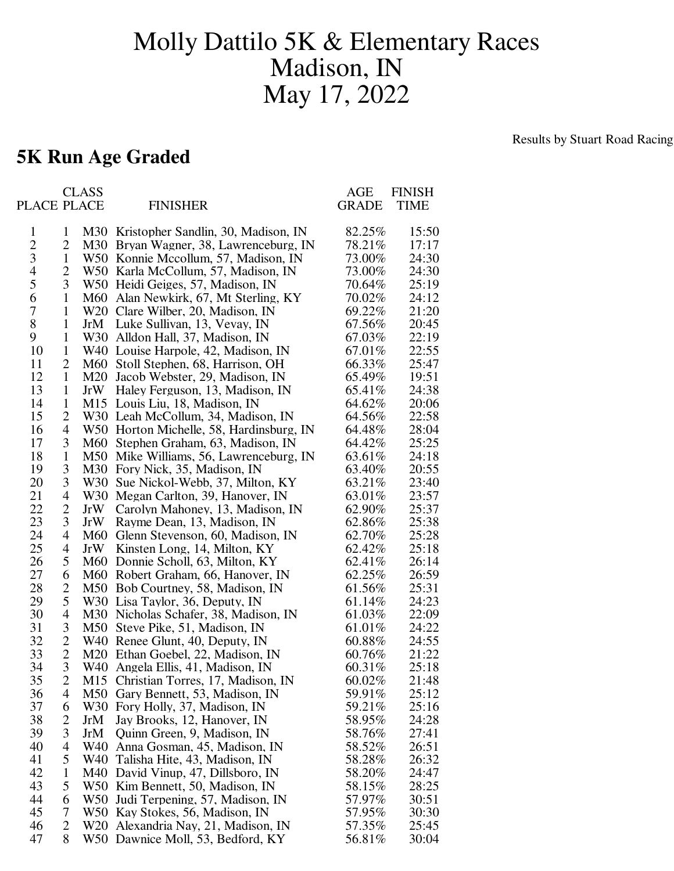## Molly Dattilo 5K & Elementary Races Madison, IN May 17, 2022

## **5K Run Age Graded**

Results by Stuart Road Racing

|                |                | <b>CLASS</b> |                                          | <b>AGE</b>   | <b>FINISH</b> |
|----------------|----------------|--------------|------------------------------------------|--------------|---------------|
| PLACE PLACE    |                |              | <b>FINISHER</b>                          | <b>GRADE</b> | <b>TIME</b>   |
|                |                |              |                                          |              |               |
| $\mathbf{1}$   | 1              |              | M30 Kristopher Sandlin, 30, Madison, IN  | 82.25%       | 15:50         |
| $\mathbf{2}$   | 2              |              | M30 Bryan Wagner, 38, Lawrenceburg, IN   | 78.21%       | 17:17         |
| $\mathfrak{Z}$ | $\mathbf{1}$   |              | W50 Konnie Mccollum, 57, Madison, IN     | 73.00%       | 24:30         |
| $\overline{4}$ | $\overline{2}$ |              | W50 Karla McCollum, 57, Madison, IN      | 73.00%       | 24:30         |
| 5              | 3              |              | W50 Heidi Geiges, 57, Madison, IN        | 70.64%       | 25:19         |
| 6              | $\mathbf{1}$   |              | M60 Alan Newkirk, 67, Mt Sterling, KY    | 70.02%       | 24:12         |
| 7              | $\mathbf{1}$   |              | W20 Clare Wilber, 20, Madison, IN        | 69.22%       | 21:20         |
| 8              | $\mathbf{1}$   |              | JrM Luke Sullivan, 13, Vevay, IN         | 67.56%       | 20:45         |
| 9              | $\mathbf{1}$   |              | W30 Alldon Hall, 37, Madison, IN         | 67.03%       | 22:19         |
| 10             | $\mathbf{1}$   |              | W40 Louise Harpole, 42, Madison, IN      | 67.01%       | 22:55         |
| 11             | 2              |              | M60 Stoll Stephen, 68, Harrison, OH      | 66.33%       | 25:47         |
| 12             | $\mathbf{1}$   |              | M20 Jacob Webster, 29, Madison, IN       | 65.49%       | 19:51         |
| 13             | $\mathbf{1}$   |              | JrW Haley Ferguson, 13, Madison, IN      | 65.41%       | 24:38         |
| 14             | $\mathbf{1}$   |              | M15 Louis Liu, 18, Madison, IN           | 64.62%       | 20:06         |
| 15             | 2              |              | W30 Leah McCollum, 34, Madison, IN       | 64.56%       | 22:58         |
| 16             | 4              |              | W50 Horton Michelle, 58, Hardinsburg, IN | 64.48%       | 28:04         |
| 17             | 3              |              | M60 Stephen Graham, 63, Madison, IN      | 64.42%       | 25:25         |
| 18             | $\mathbf{1}$   |              | M50 Mike Williams, 56, Lawrenceburg, IN  | 63.61%       | 24:18         |
| 19             | 3              |              | M30 Fory Nick, 35, Madison, IN           | 63.40%       | 20:55         |
| 20             | 3              |              | W30 Sue Nickol-Webb, 37, Milton, KY      | 63.21%       | 23:40         |
| 21             | 4              |              | W30 Megan Carlton, 39, Hanover, IN       | 63.01%       | 23:57         |
| 22             | $\overline{2}$ |              | JrW Carolyn Mahoney, 13, Madison, IN     | 62.90%       | 25:37         |
| 23             | 3              |              | JrW Rayme Dean, 13, Madison, IN          | 62.86%       | 25:38         |
| 24             | 4              |              | M60 Glenn Stevenson, 60, Madison, IN     | 62.70%       | 25:28         |
| 25             | 4              |              |                                          | 62.42%       |               |
| 26             | 5              |              | JrW Kinsten Long, 14, Milton, KY         |              | 25:18         |
|                |                |              | M60 Donnie Scholl, 63, Milton, KY        | 62.41%       | 26:14         |
| 27             | 6              |              | M60 Robert Graham, 66, Hanover, IN       | 62.25%       | 26:59         |
| 28             | $\overline{2}$ |              | M50 Bob Courtney, 58, Madison, IN        | 61.56%       | 25:31         |
| 29             | 5              |              | W30 Lisa Taylor, 36, Deputy, IN          | 61.14%       | 24:23         |
| 30             | 4              |              | M30 Nicholas Schafer, 38, Madison, IN    | 61.03%       | 22:09         |
| 31             | 3              |              | M50 Steve Pike, 51, Madison, IN          | 61.01%       | 24:22         |
| 32             | $\overline{2}$ |              | W40 Renee Glunt, 40, Deputy, IN          | 60.88%       | 24:55         |
| 33             | $\overline{2}$ |              | M20 Ethan Goebel, 22, Madison, IN        | 60.76%       | 21:22         |
| 34             | 3              |              | W40 Angela Ellis, 41, Madison, IN        | 60.31%       | 25:18         |
| 35             | $\overline{c}$ |              | M15 Christian Torres, 17, Madison, IN    | 60.02%       | 21:48         |
| 36             | 4              |              | M50 Gary Bennett, 53, Madison, IN        | 59.91%       | 25:12         |
| 37             | 6              |              | W30 Fory Holly, 37, Madison, IN          | 59.21%       | 25:16         |
| 38             | $\overline{2}$ | JrM          | Jay Brooks, 12, Hanover, IN              | 58.95%       | 24:28         |
| 39             | 3              | JrM          | Quinn Green, 9, Madison, IN              | 58.76%       | 27:41         |
| 40             | 4              |              | W40 Anna Gosman, 45, Madison, IN         | 58.52%       | 26:51         |
| 41             | 5              |              | W40 Talisha Hite, 43, Madison, IN        | 58.28%       | 26:32         |
| 42             | $\mathbf{1}$   |              | M40 David Vinup, 47, Dillsboro, IN       | 58.20%       | 24:47         |
| 43             | 5              |              | W50 Kim Bennett, 50, Madison, IN         | 58.15%       | 28:25         |
| 44             | 6              |              | W50 Judi Terpening, 57, Madison, IN      | 57.97%       | 30:51         |
| 45             | 7              |              | W50 Kay Stokes, 56, Madison, IN          | 57.95%       | 30:30         |
| 46             | 2              |              | W20 Alexandria Nay, 21, Madison, IN      | 57.35%       | 25:45         |
| 47             | 8              |              | W50 Dawnice Moll, 53, Bedford, KY        | 56.81%       | 30:04         |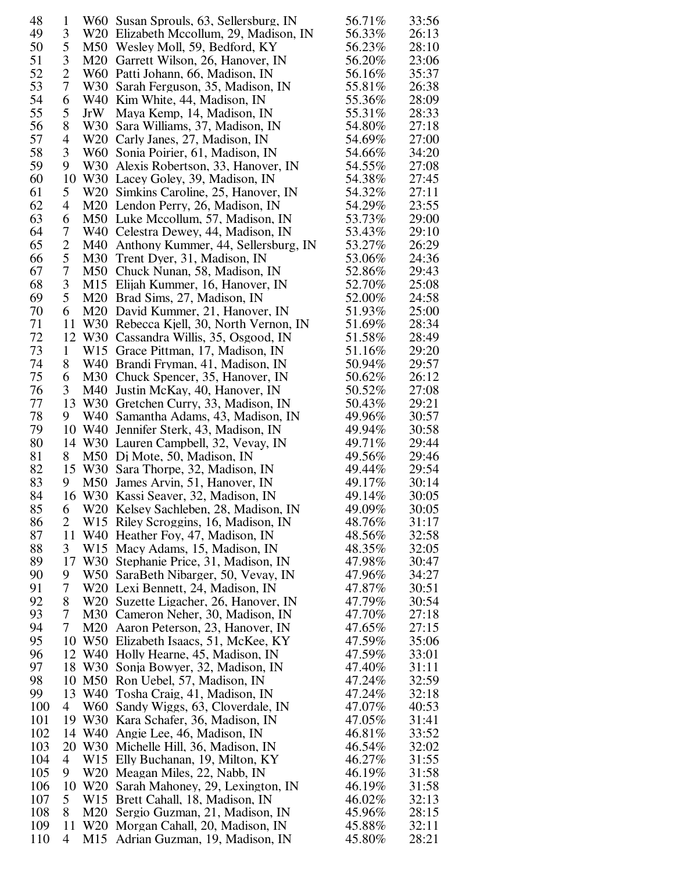| 48  | $\mathbf{1}$   |        | W60 Susan Sprouls, 63, Sellersburg, IN                                    | 56.71%           | 33:56          |
|-----|----------------|--------|---------------------------------------------------------------------------|------------------|----------------|
| 49  | 3              |        | W20 Elizabeth Mccollum, 29, Madison, IN                                   | 56.33%           | 26:13          |
| 50  | 5              |        | M50 Wesley Moll, 59, Bedford, KY                                          | 56.23%           | 28:10          |
| 51  | 3              |        | M20 Garrett Wilson, 26, Hanover, IN                                       | 56.20%           | 23:06          |
| 52  | $\overline{c}$ |        | W60 Patti Johann, 66, Madison, IN                                         | 56.16%           | 35:37          |
| 53  | 7              |        | W30 Sarah Ferguson, 35, Madison, IN                                       | 55.81%           | 26:38          |
| 54  | 6              |        | W40 Kim White, 44, Madison, IN                                            | 55.36%           | 28:09          |
| 55  | 5              | JrW    | Maya Kemp, 14, Madison, IN                                                | 55.31%           | 28:33          |
| 56  | 8              | W30    | Sara Williams, 37, Madison, IN                                            | 54.80%           | 27:18          |
| 57  | 4              |        | W20 Carly Janes, 27, Madison, IN                                          | 54.69%           | 27:00          |
| 58  | 3              |        | W60 Sonia Poirier, 61, Madison, IN                                        | 54.66%           | 34:20          |
| 59  | 9              |        | W30 Alexis Robertson, 33, Hanover, IN                                     | 54.55%           | 27:08          |
| 60  | 10             |        | W30 Lacey Goley, 39, Madison, IN                                          | 54.38%           | 27:45          |
| 61  | 5              |        | W20 Simkins Caroline, 25, Hanover, IN                                     | 54.32%           | 27:11          |
| 62  | 4              |        | M20 Lendon Perry, 26, Madison, IN                                         | 54.29%           | 23:55          |
| 63  | 6              |        | M50 Luke Mccollum, 57, Madison, IN                                        | 53.73%           | 29:00          |
| 64  | 7              |        | W40 Celestra Dewey, 44, Madison, IN                                       | 53.43%           | 29:10          |
| 65  | $\overline{c}$ |        | M40 Anthony Kummer, 44, Sellersburg, IN                                   | 53.27%           | 26:29          |
| 66  | 5              |        | M30 Trent Dyer, 31, Madison, IN                                           | 53.06%           | 24:36          |
| 67  | 7              |        | M50 Chuck Nunan, 58, Madison, IN                                          | 52.86%           | 29:43          |
| 68  | 3              |        | M15 Elijah Kummer, 16, Hanover, IN                                        | 52.70%           | 25:08          |
| 69  | 5              |        | M20 Brad Sims, 27, Madison, IN                                            | 52.00%           | 24:58          |
| 70  | 6              |        | M20 David Kummer, 21, Hanover, IN                                         | 51.93%           | 25:00          |
| 71  | 11             |        | W30 Rebecca Kjell, 30, North Vernon, IN                                   | 51.69%           | 28:34          |
| 72  | 12             |        | W30 Cassandra Willis, 35, Osgood, IN                                      | 51.58%           | 28:49          |
| 73  | 1              |        | W15 Grace Pittman, 17, Madison, IN                                        | 51.16%           | 29:20          |
| 74  | 8              |        | W40 Brandi Fryman, 41, Madison, IN                                        | 50.94%           | 29:57          |
| 75  | 6              |        | M30 Chuck Spencer, 35, Hanover, IN                                        | 50.62%           | 26:12          |
| 76  | 3              | M40    | Justin McKay, 40, Hanover, IN                                             | 50.52%           | 27:08          |
| 77  | 13             |        | W30 Gretchen Curry, 33, Madison, IN                                       | 50.43%           | 29:21          |
| 78  | 9              | W40    | Samantha Adams, 43, Madison, IN                                           | 49.96%           | 30:57          |
| 79  | 10             | W40    | Jennifer Sterk, 43, Madison, IN                                           | 49.94%           | 30:58          |
| 80  |                |        | 14 W30 Lauren Campbell, 32, Vevay, IN                                     | 49.71%           | 29:44          |
| 81  | 8              |        | M50 Dj Mote, 50, Madison, IN                                              | 49.56%           | 29:46          |
| 82  |                |        | 15 W30 Sara Thorpe, 32, Madison, IN                                       | 49.44%           | 29:54          |
| 83  | 9              |        | M50 James Arvin, 51, Hanover, IN                                          | 49.17%           | 30:14          |
| 84  |                |        | 16 W30 Kassi Seaver, 32, Madison, IN                                      | 49.14%           | 30:05          |
| 85  |                |        | 6 W20 Kelsey Sachleben, 28, Madison, IN                                   | 49.09%           | 30:05          |
| 86  | 2              |        | W15 Riley Scroggins, 16, Madison, IN                                      | 48.76%           | 31:17          |
| 87  | 11             |        | W40 Heather Foy, 47, Madison, IN                                          | 48.56%           | 32:58          |
| 88  | 3              |        | W15 Macy Adams, 15, Madison, IN                                           | 48.35%           | 32:05          |
| 89  | 17             |        | W30 Stephanie Price, 31, Madison, IN                                      | 47.98%           | 30:47          |
| 90  | 9              |        | W50 SaraBeth Nibarger, 50, Vevay, IN                                      | 47.96%           | 34:27          |
| 91  | 7              |        |                                                                           | 47.87%           | 30:51          |
| 92  | 8              |        | W20 Lexi Bennett, 24, Madison, IN                                         | 47.79%           | 30:54          |
| 93  | 7              |        | W <sub>20</sub> Suzette Ligacher, 26, Hanover, IN                         | 47.70%           | 27:18          |
| 94  | 7              |        | M30 Cameron Neher, 30, Madison, IN<br>M20 Aaron Peterson, 23, Hanover, IN | 47.65%           | 27:15          |
| 95  | 10             |        | W50 Elizabeth Isaacs, 51, McKee, KY                                       | 47.59%           | 35:06          |
| 96  | 12             |        | W40 Holly Hearne, 45, Madison, IN                                         | 47.59%           | 33:01          |
| 97  |                |        |                                                                           |                  |                |
| 98  | 10             |        | 18 W30 Sonja Bowyer, 32, Madison, IN                                      | 47.40%           | 31:11          |
| 99  | 13             |        | M50 Ron Uebel, 57, Madison, IN                                            | 47.24%           | 32:59          |
| 100 | 4              |        | W40 Tosha Craig, 41, Madison, IN                                          | 47.24%<br>47.07% | 32:18<br>40:53 |
| 101 | 19             |        | W60 Sandy Wiggs, 63, Cloverdale, IN                                       | 47.05%           | 31:41          |
| 102 |                |        | W30 Kara Schafer, 36, Madison, IN                                         |                  | 33:52          |
|     |                | 14 W40 | Angie Lee, 46, Madison, IN                                                | 46.81%           |                |
| 103 | 20             |        | W30 Michelle Hill, 36, Madison, IN                                        | 46.54%           | 32:02          |
| 104 | 4              |        | W15 Elly Buchanan, 19, Milton, KY                                         | 46.27%           | 31:55          |
| 105 | 9              |        | W20 Meagan Miles, 22, Nabb, IN                                            | 46.19%           | 31:58          |
| 106 | 10             |        | W20 Sarah Mahoney, 29, Lexington, IN                                      | 46.19%           | 31:58          |
| 107 | 5              |        | W15 Brett Cahall, 18, Madison, IN                                         | 46.02%           | 32:13          |
| 108 | 8              | M20    | Sergio Guzman, 21, Madison, IN                                            | 45.96%           | 28:15          |
| 109 | 11<br>4        | W20    | Morgan Cahall, 20, Madison, IN                                            | 45.88%           | 32:11          |
| 110 |                | M15    | Adrian Guzman, 19, Madison, IN                                            | 45.80%           | 28:21          |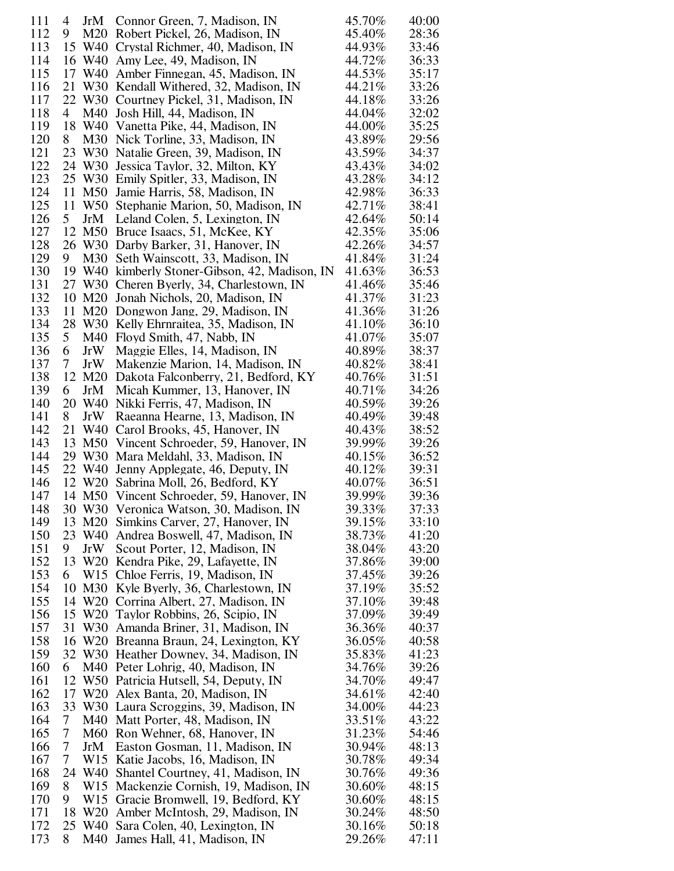| 111 | 4  | JrM                | Connor Green, 7, Madison, IN                  | 45.70% | 40:00 |
|-----|----|--------------------|-----------------------------------------------|--------|-------|
| 112 | 9  | M20                | Robert Pickel, 26, Madison, IN                | 45.40% | 28:36 |
| 113 |    | 15 W40             | Crystal Richmer, 40, Madison, IN              | 44.93% | 33:46 |
| 114 |    | 16 W40             | Amy Lee, 49, Madison, IN                      | 44.72% | 36:33 |
| 115 | 17 | W40                | Amber Finnegan, 45, Madison, IN               | 44.53% | 35:17 |
| 116 | 21 | W30                | Kendall Withered, 32, Madison, IN             | 44.21% | 33:26 |
| 117 |    | 22 W30             | Courtney Pickel, 31, Madison, IN              | 44.18% | 33:26 |
| 118 | 4  | M40                | Josh Hill, 44, Madison, IN                    | 44.04% | 32:02 |
| 119 |    | 18 W40             | Vanetta Pike, 44, Madison, IN                 | 44.00% | 35:25 |
| 120 | 8  | M30                | Nick Torline, 33, Madison, IN                 | 43.89% | 29:56 |
| 121 | 23 | W <sub>30</sub>    | Natalie Green, 39, Madison, IN                | 43.59% | 34:37 |
| 122 |    | 24 W30             | Jessica Taylor, 32, Milton, KY                | 43.43% | 34:02 |
| 123 |    | 25 W30             | Emily Spitler, 33, Madison, IN                | 43.28% | 34:12 |
| 124 | 11 | M50                | Jamie Harris, 58, Madison, IN                 | 42.98% | 36:33 |
| 125 | 11 | W50                | Stephanie Marion, 50, Madison, IN             | 42.71% | 38:41 |
| 126 | 5  | JrM                | Leland Colen, 5, Lexington, IN                | 42.64% | 50:14 |
| 127 | 12 | M50                | Bruce Isaacs, 51, McKee, KY                   | 42.35% | 35:06 |
| 128 |    | 26 W30             | Darby Barker, 31, Hanover, IN                 | 42.26% | 34:57 |
| 129 | 9  | M30                | Seth Wainscott, 33, Madison, IN               | 41.84% | 31:24 |
| 130 | 19 | W40                | kimberly Stoner-Gibson, 42, Madison, IN       | 41.63% | 36:53 |
| 131 |    | 27 W30             | Cheren Byerly, 34, Charlestown, IN            | 41.46% | 35:46 |
| 132 |    | 10 M20             | Jonah Nichols, 20, Madison, IN                | 41.37% | 31:23 |
| 133 | 11 | M20                | Dongwon Jang, 29, Madison, IN                 | 41.36% | 31:26 |
| 134 |    | 28 W30             | Kelly Ehrnraitea, 35, Madison, IN             | 41.10% | 36:10 |
| 135 | 5  | M40                | Floyd Smith, 47, Nabb, IN                     | 41.07% | 35:07 |
| 136 | 6  | JrW                | Maggie Elles, 14, Madison, IN                 | 40.89% | 38:37 |
| 137 | 7  | JrW                | Makenzie Marion, 14, Madison, IN              | 40.82% | 38:41 |
| 138 | 12 | M20                | Dakota Falconberry, 21, Bedford, KY           | 40.76% | 31:51 |
| 139 | 6  | JrM                | Micah Kummer, 13, Hanover, IN                 | 40.71% | 34:26 |
| 140 |    | 20 W <sub>40</sub> | Nikki Ferris, 47, Madison, IN                 | 40.59% | 39:26 |
| 141 | 8  | JrW                | Raeanna Hearne, 13, Madison, IN               | 40.49% | 39:48 |
| 142 | 21 | W40                | Carol Brooks, 45, Hanover, IN                 | 40.43% | 38:52 |
| 143 | 13 | M <sub>50</sub>    | Vincent Schroeder, 59, Hanover, IN            | 39.99% | 39:26 |
| 144 | 29 | W <sub>30</sub>    | Mara Meldahl, 33, Madison, IN                 | 40.15% | 36:52 |
| 145 |    | 22 W40             | Jenny Applegate, 46, Deputy, IN               | 40.12% | 39:31 |
| 146 |    | 12 W <sub>20</sub> | Sabrina Moll, 26, Bedford, KY                 | 40.07% | 36:51 |
| 147 |    |                    | 14 M50 Vincent Schroeder, 59, Hanover, IN     | 39.99% | 39:36 |
| 148 |    |                    | 30 W30 Veronica Watson, 30, Madison, IN       | 39.33% | 37:33 |
| 149 |    | 13 M20             | Simkins Carver, 27, Hanover, IN               | 39.15% | 33:10 |
| 150 |    | 23 W40             | Andrea Boswell, 47, Madison, IN               | 38.73% | 41:20 |
| 151 | 9. | JrW                | Scout Porter, 12, Madison, IN                 | 38.04% | 43:20 |
| 152 |    |                    | 13 W20 Kendra Pike, 29, Lafayette, IN         | 37.86% | 39:00 |
| 153 | 6  |                    | W <sub>15</sub> Chloe Ferris, 19, Madison, IN | 37.45% | 39:26 |
| 154 | 10 |                    | M30 Kyle Byerly, 36, Charlestown, IN          | 37.19% | 35:52 |
| 155 |    | 14 W <sub>20</sub> | Corrina Albert, 27, Madison, IN               | 37.10% | 39:48 |
| 156 |    |                    | 15 W20 Taylor Robbins, 26, Scipio, IN         | 37.09% | 39:49 |
| 157 | 31 |                    | W30 Amanda Briner, 31, Madison, IN            | 36.36% | 40:37 |
| 158 |    |                    | 16 W20 Breanna Braun, 24, Lexington, KY       | 36.05% | 40:58 |
| 159 |    |                    | 32 W30 Heather Downey, 34, Madison, IN        | 35.83% | 41:23 |
| 160 | 6  |                    | M40 Peter Lohrig, 40, Madison, IN             | 34.76% | 39:26 |
| 161 |    |                    | 12 W50 Patricia Hutsell, 54, Deputy, IN       | 34.70% | 49:47 |
| 162 |    |                    | 17 W20 Alex Banta, 20, Madison, IN            | 34.61% | 42:40 |
| 163 |    |                    | 33 W30 Laura Scroggins, 39, Madison, IN       | 34.00% | 44:23 |
| 164 | 7  |                    | M40 Matt Porter, 48, Madison, IN              | 33.51% | 43:22 |
| 165 | 7  |                    | M60 Ron Wehner, 68, Hanover, IN               | 31.23% | 54:46 |
| 166 | 7  | JrM                | Easton Gosman, 11, Madison, IN                | 30.94% | 48:13 |
| 167 | 7  |                    | W <sub>15</sub> Katie Jacobs, 16, Madison, IN | 30.78% | 49:34 |
| 168 | 24 |                    | W40 Shantel Courtney, 41, Madison, IN         | 30.76% | 49:36 |
| 169 | 8  |                    | W15 Mackenzie Cornish, 19, Madison, IN        | 30.60% | 48:15 |
| 170 | 9  | W15                | Gracie Bromwell, 19, Bedford, KY              | 30.60% | 48:15 |
| 171 | 18 | W20                | Amber McIntosh, 29, Madison, IN               | 30.24% | 48:50 |
| 172 |    | 25 W40             | Sara Colen, 40, Lexington, IN                 | 30.16% | 50:18 |
| 173 | 8  | M40                | James Hall, 41, Madison, IN                   | 29.26% | 47:11 |